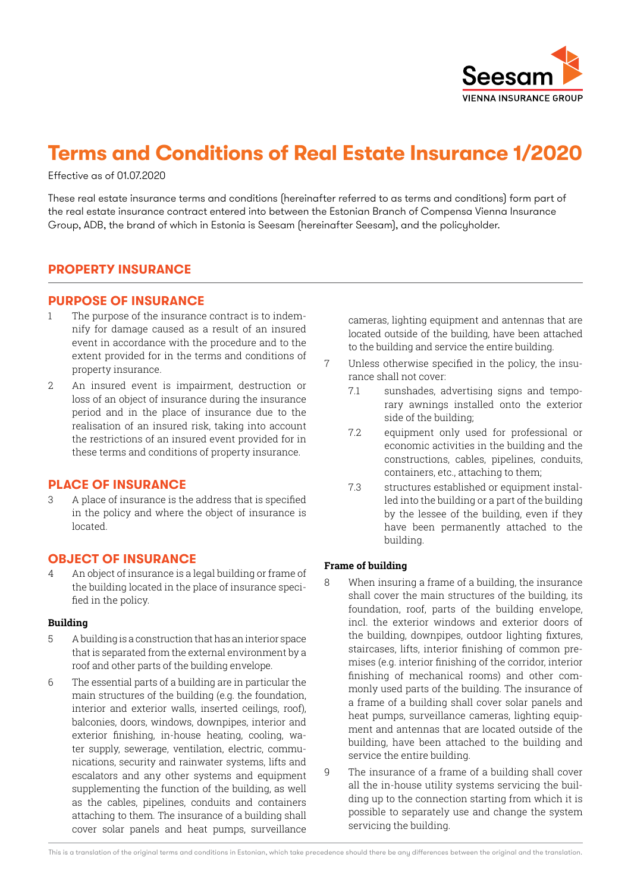

# **Terms and Conditions of Real Estate Insurance 1/2020**

Effective as of 01.07.2020

These real estate insurance terms and conditions (hereinafter referred to as terms and conditions) form part of the real estate insurance contract entered into between the Estonian Branch of Compensa Vienna Insurance Group, ADB, the brand of which in Estonia is Seesam (hereinafter Seesam), and the policyholder.

# **PROPERTY INSURANCE**

## **PURPOSE OF INSURANCE**

- 1 The purpose of the insurance contract is to indemnify for damage caused as a result of an insured event in accordance with the procedure and to the extent provided for in the terms and conditions of property insurance.
- 2 An insured event is impairment, destruction or loss of an object of insurance during the insurance period and in the place of insurance due to the realisation of an insured risk, taking into account the restrictions of an insured event provided for in these terms and conditions of property insurance.

## **PLACE OF INSURANCE**

3 A place of insurance is the address that is specified in the policy and where the object of insurance is located.

# **OBJECT OF INSURANCE**

4 An object of insurance is a legal building or frame of the building located in the place of insurance specified in the policy.

#### **Building**

- 5 A building is a construction that has an interior space that is separated from the external environment by a roof and other parts of the building envelope.
- 6 The essential parts of a building are in particular the main structures of the building (e.g. the foundation, interior and exterior walls, inserted ceilings, roof), balconies, doors, windows, downpipes, interior and exterior finishing, in-house heating, cooling, water supply, sewerage, ventilation, electric, communications, security and rainwater systems, lifts and escalators and any other systems and equipment supplementing the function of the building, as well as the cables, pipelines, conduits and containers attaching to them. The insurance of a building shall cover solar panels and heat pumps, surveillance

cameras, lighting equipment and antennas that are located outside of the building, have been attached to the building and service the entire building.

- 7 Unless otherwise specified in the policy, the insurance shall not cover:
	- 7.1 sunshades, advertising signs and temporary awnings installed onto the exterior side of the building;
	- 7.2 equipment only used for professional or economic activities in the building and the constructions, cables, pipelines, conduits, containers, etc., attaching to them;
	- 7.3 structures established or equipment installed into the building or a part of the building by the lessee of the building, even if they have been permanently attached to the building.

## **Frame of building**

- 8 When insuring a frame of a building, the insurance shall cover the main structures of the building, its foundation, roof, parts of the building envelope, incl. the exterior windows and exterior doors of the building, downpipes, outdoor lighting fixtures, staircases, lifts, interior finishing of common premises (e.g. interior finishing of the corridor, interior finishing of mechanical rooms) and other commonly used parts of the building. The insurance of a frame of a building shall cover solar panels and heat pumps, surveillance cameras, lighting equipment and antennas that are located outside of the building, have been attached to the building and service the entire building.
- 9 The insurance of a frame of a building shall cover all the in-house utility systems servicing the building up to the connection starting from which it is possible to separately use and change the system servicing the building.

This is a translation of the original terms and conditions in Estonian, which take precedence should there be any differences between the original and the translation.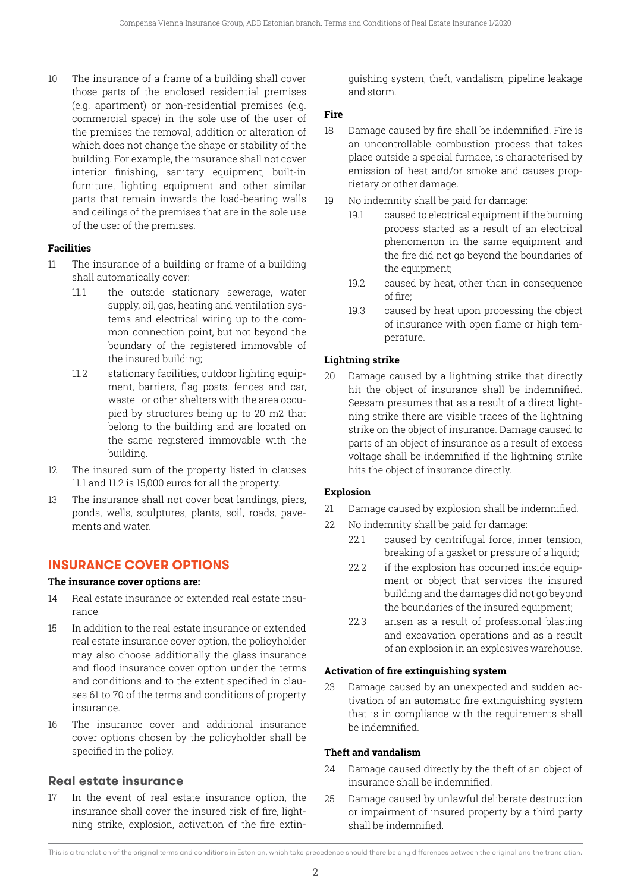10 The insurance of a frame of a building shall cover those parts of the enclosed residential premises (e.g. apartment) or non-residential premises (e.g. commercial space) in the sole use of the user of the premises the removal, addition or alteration of which does not change the shape or stability of the building. For example, the insurance shall not cover interior finishing, sanitary equipment, built-in furniture, lighting equipment and other similar parts that remain inwards the load-bearing walls and ceilings of the premises that are in the sole use of the user of the premises.

## **Facilities**

- 11 The insurance of a building or frame of a building shall automatically cover:
	- 11.1 the outside stationary sewerage, water supply, oil, gas, heating and ventilation systems and electrical wiring up to the common connection point, but not beyond the boundary of the registered immovable of the insured building;
	- 11.2 stationary facilities, outdoor lighting equipment, barriers, flag posts, fences and car, waste or other shelters with the area occupied by structures being up to 20 m2 that belong to the building and are located on the same registered immovable with the building.
- 12 The insured sum of the property listed in clauses 11.1 and 11.2 is 15,000 euros for all the property.
- 13 The insurance shall not cover boat landings, piers, ponds, wells, sculptures, plants, soil, roads, pavements and water.

# **INSURANCE COVER OPTIONS**

## **The insurance cover options are:**

- 14 Real estate insurance or extended real estate insurance.
- 15 In addition to the real estate insurance or extended real estate insurance cover option, the policyholder may also choose additionally the glass insurance and flood insurance cover option under the terms and conditions and to the extent specified in clauses 61 to 70 of the terms and conditions of property insurance.
- 16 The insurance cover and additional insurance cover options chosen by the policyholder shall be specified in the policy.

# **Real estate insurance**

17 In the event of real estate insurance option, the insurance shall cover the insured risk of fire, lightning strike, explosion, activation of the fire extinguishing system, theft, vandalism, pipeline leakage and storm.

#### **Fire**

- 18 Damage caused by fire shall be indemnified. Fire is an uncontrollable combustion process that takes place outside a special furnace, is characterised by emission of heat and/or smoke and causes proprietary or other damage.
- 19 No indemnity shall be paid for damage:
	- 19.1 caused to electrical equipment if the burning process started as a result of an electrical phenomenon in the same equipment and the fire did not go beyond the boundaries of the equipment;
	- 19.2 caused by heat, other than in consequence of fire;
	- 19.3 caused by heat upon processing the object of insurance with open flame or high temperature.

# **Lightning strike**

20 Damage caused by a lightning strike that directly hit the object of insurance shall be indemnified. Seesam presumes that as a result of a direct lightning strike there are visible traces of the lightning strike on the object of insurance. Damage caused to parts of an object of insurance as a result of excess voltage shall be indemnified if the lightning strike hits the object of insurance directly.

## **Explosion**

- 21 Damage caused by explosion shall be indemnified.
- 22 No indemnity shall be paid for damage:
	- 22.1 caused by centrifugal force, inner tension, breaking of a gasket or pressure of a liquid;
	- 22.2 if the explosion has occurred inside equipment or object that services the insured building and the damages did not go beyond the boundaries of the insured equipment;
	- 22.3 arisen as a result of professional blasting and excavation operations and as a result of an explosion in an explosives warehouse.

## **Activation of fire extinguishing system**

23 Damage caused by an unexpected and sudden activation of an automatic fire extinguishing system that is in compliance with the requirements shall be indemnified.

# **Theft and vandalism**

- 24 Damage caused directly by the theft of an object of insurance shall be indemnified.
- 25 Damage caused by unlawful deliberate destruction or impairment of insured property by a third party shall be indemnified.

This is a translation of the original terms and conditions in Estonian, which take precedence should there be any differences between the original and the translation.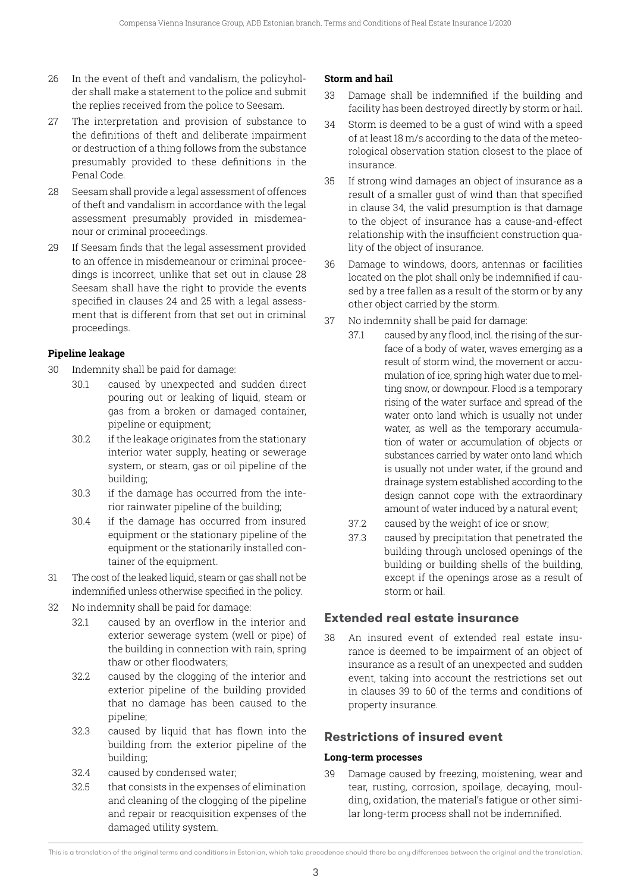- 26 In the event of theft and vandalism, the policyholder shall make a statement to the police and submit the replies received from the police to Seesam.
- 27 The interpretation and provision of substance to the definitions of theft and deliberate impairment or destruction of a thing follows from the substance presumably provided to these definitions in the Penal Code.
- 28 Seesam shall provide a legal assessment of offences of theft and vandalism in accordance with the legal assessment presumably provided in misdemeanour or criminal proceedings.
- 29 If Seesam finds that the legal assessment provided to an offence in misdemeanour or criminal proceedings is incorrect, unlike that set out in clause 28 Seesam shall have the right to provide the events specified in clauses 24 and 25 with a legal assessment that is different from that set out in criminal proceedings.

## **Pipeline leakage**

- 30 Indemnity shall be paid for damage:
	- 30.1 caused by unexpected and sudden direct pouring out or leaking of liquid, steam or gas from a broken or damaged container, pipeline or equipment;
	- 30.2 if the leakage originates from the stationary interior water supply, heating or sewerage system, or steam, gas or oil pipeline of the building;
	- 30.3 if the damage has occurred from the interior rainwater pipeline of the building;
	- 30.4 if the damage has occurred from insured equipment or the stationary pipeline of the equipment or the stationarily installed container of the equipment.
- 31 The cost of the leaked liquid, steam or gas shall not be indemnified unless otherwise specified in the policy.
- 32 No indemnity shall be paid for damage:
	- 32.1 caused by an overflow in the interior and exterior sewerage system (well or pipe) of the building in connection with rain, spring thaw or other floodwaters;
	- 32.2 caused by the clogging of the interior and exterior pipeline of the building provided that no damage has been caused to the pipeline;
	- 32.3 caused by liquid that has flown into the building from the exterior pipeline of the building;
	- 32.4 caused by condensed water;
	- 32.5 that consists in the expenses of elimination and cleaning of the clogging of the pipeline and repair or reacquisition expenses of the damaged utility system.

## **Storm and hail**

- 33 Damage shall be indemnified if the building and facility has been destroyed directly by storm or hail.
- 34 Storm is deemed to be a gust of wind with a speed of at least 18 m/s according to the data of the meteorological observation station closest to the place of insurance.
- 35 If strong wind damages an object of insurance as a result of a smaller gust of wind than that specified in clause 34, the valid presumption is that damage to the object of insurance has a cause-and-effect relationship with the insufficient construction quality of the object of insurance.
- 36 Damage to windows, doors, antennas or facilities located on the plot shall only be indemnified if caused by a tree fallen as a result of the storm or by any other object carried by the storm.
- 37 No indemnity shall be paid for damage:
	- 37.1 caused by any flood, incl. the rising of the surface of a body of water, waves emerging as a result of storm wind, the movement or accumulation of ice, spring high water due to melting snow, or downpour. Flood is a temporary rising of the water surface and spread of the water onto land which is usually not under water, as well as the temporary accumulation of water or accumulation of objects or substances carried by water onto land which is usually not under water, if the ground and drainage system established according to the design cannot cope with the extraordinary amount of water induced by a natural event;
		- 37.2 caused by the weight of ice or snow;
		- 37.3 caused by precipitation that penetrated the building through unclosed openings of the building or building shells of the building, except if the openings arose as a result of storm or hail.

# **Extended real estate insurance**

38 An insured event of extended real estate insurance is deemed to be impairment of an object of insurance as a result of an unexpected and sudden event, taking into account the restrictions set out in clauses 39 to 60 of the terms and conditions of property insurance.

# **Restrictions of insured event**

## **Long-term processes**

39 Damage caused by freezing, moistening, wear and tear, rusting, corrosion, spoilage, decaying, moulding, oxidation, the material's fatigue or other similar long-term process shall not be indemnified.

This is a translation of the original terms and conditions in Estonian, which take precedence should there be any differences between the original and the translation.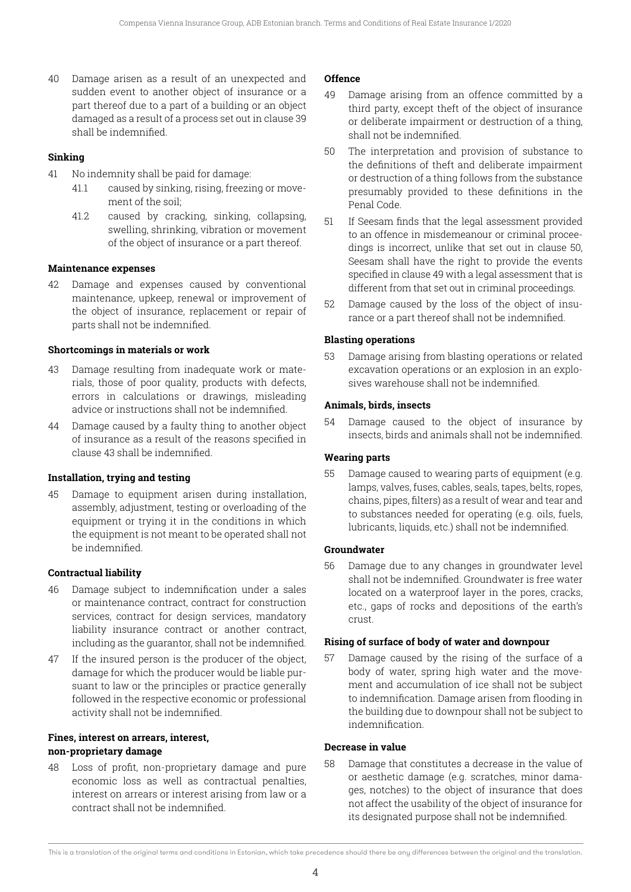40 Damage arisen as a result of an unexpected and sudden event to another object of insurance or a part thereof due to a part of a building or an object damaged as a result of a process set out in clause 39 shall be indemnified.

#### **Sinking**

- 41 No indemnity shall be paid for damage:
	- 41.1 caused by sinking, rising, freezing or movement of the soil;
	- 41.2 caused by cracking, sinking, collapsing, swelling, shrinking, vibration or movement of the object of insurance or a part thereof.

#### **Maintenance expenses**

42 Damage and expenses caused by conventional maintenance, upkeep, renewal or improvement of the object of insurance, replacement or repair of parts shall not be indemnified.

#### **Shortcomings in materials or work**

- 43 Damage resulting from inadequate work or materials, those of poor quality, products with defects, errors in calculations or drawings, misleading advice or instructions shall not be indemnified.
- 44 Damage caused by a faulty thing to another object of insurance as a result of the reasons specified in clause 43 shall be indemnified.

#### **Installation, trying and testing**

45 Damage to equipment arisen during installation, assembly, adjustment, testing or overloading of the equipment or trying it in the conditions in which the equipment is not meant to be operated shall not be indemnified.

#### **Contractual liability**

- 46 Damage subject to indemnification under a sales or maintenance contract, contract for construction services, contract for design services, mandatory liability insurance contract or another contract, including as the guarantor, shall not be indemnified.
- 47 If the insured person is the producer of the object, damage for which the producer would be liable pursuant to law or the principles or practice generally followed in the respective economic or professional activity shall not be indemnified.

#### **Fines, interest on arrears, interest, non-proprietary damage**

48 Loss of profit, non-proprietary damage and pure economic loss as well as contractual penalties, interest on arrears or interest arising from law or a contract shall not be indemnified.

#### **Offence**

- 49 Damage arising from an offence committed by a third party, except theft of the object of insurance or deliberate impairment or destruction of a thing, shall not be indemnified.
- 50 The interpretation and provision of substance to the definitions of theft and deliberate impairment or destruction of a thing follows from the substance presumably provided to these definitions in the Penal Code.
- 51 If Seesam finds that the legal assessment provided to an offence in misdemeanour or criminal proceedings is incorrect, unlike that set out in clause 50, Seesam shall have the right to provide the events specified in clause 49 with a legal assessment that is different from that set out in criminal proceedings.
- 52 Damage caused by the loss of the object of insurance or a part thereof shall not be indemnified.

#### **Blasting operations**

53 Damage arising from blasting operations or related excavation operations or an explosion in an explosives warehouse shall not be indemnified.

#### **Animals, birds, insects**

54 Damage caused to the object of insurance by insects, birds and animals shall not be indemnified.

#### **Wearing parts**

55 Damage caused to wearing parts of equipment (e.g. lamps, valves, fuses, cables, seals, tapes, belts, ropes, chains, pipes, filters) as a result of wear and tear and to substances needed for operating (e.g. oils, fuels, lubricants, liquids, etc.) shall not be indemnified.

#### **Groundwater**

56 Damage due to any changes in groundwater level shall not be indemnified. Groundwater is free water located on a waterproof layer in the pores, cracks, etc., gaps of rocks and depositions of the earth's crust.

#### **Rising of surface of body of water and downpour**

57 Damage caused by the rising of the surface of a body of water, spring high water and the movement and accumulation of ice shall not be subject to indemnification. Damage arisen from flooding in the building due to downpour shall not be subject to indemnification.

#### **Decrease in value**

58 Damage that constitutes a decrease in the value of or aesthetic damage (e.g. scratches, minor damages, notches) to the object of insurance that does not affect the usability of the object of insurance for its designated purpose shall not be indemnified.

This is a translation of the original terms and conditions in Estonian, which take precedence should there be any differences between the original and the translation.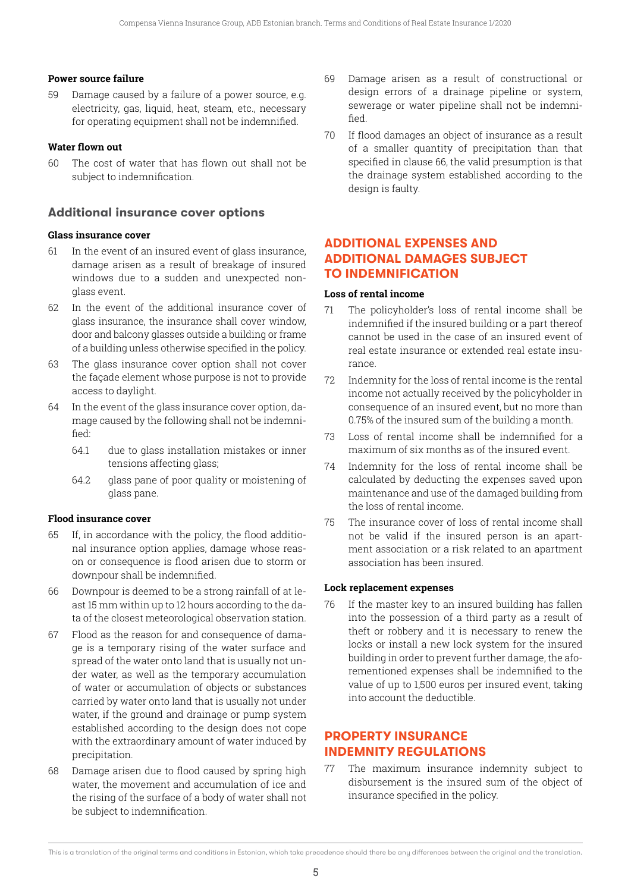## **Power source failure**

59 Damage caused by a failure of a power source, e.g. electricity, gas, liquid, heat, steam, etc., necessary for operating equipment shall not be indemnified.

## **Water flown out**

60 The cost of water that has flown out shall not be subject to indemnification.

# **Additional insurance cover options**

#### **Glass insurance cover**

- 61 In the event of an insured event of glass insurance, damage arisen as a result of breakage of insured windows due to a sudden and unexpected nonglass event.
- 62 In the event of the additional insurance cover of glass insurance, the insurance shall cover window, door and balcony glasses outside a building or frame of a building unless otherwise specified in the policy.
- 63 The glass insurance cover option shall not cover the façade element whose purpose is not to provide access to daylight.
- 64 In the event of the glass insurance cover option, damage caused by the following shall not be indemnified:
	- 64.1 due to glass installation mistakes or inner tensions affecting glass;
	- 64.2 glass pane of poor quality or moistening of glass pane.

## **Flood insurance cover**

- 65 If, in accordance with the policy, the flood additional insurance option applies, damage whose reason or consequence is flood arisen due to storm or downpour shall be indemnified.
- 66 Downpour is deemed to be a strong rainfall of at least 15 mm within up to 12 hours according to the data of the closest meteorological observation station.
- 67 Flood as the reason for and consequence of damage is a temporary rising of the water surface and spread of the water onto land that is usually not under water, as well as the temporary accumulation of water or accumulation of objects or substances carried by water onto land that is usually not under water, if the ground and drainage or pump system established according to the design does not cope with the extraordinary amount of water induced by precipitation.
- 68 Damage arisen due to flood caused by spring high water, the movement and accumulation of ice and the rising of the surface of a body of water shall not be subject to indemnification.
- 69 Damage arisen as a result of constructional or design errors of a drainage pipeline or system. sewerage or water pipeline shall not be indemnified.
- 70 If flood damages an object of insurance as a result of a smaller quantity of precipitation than that specified in clause 66, the valid presumption is that the drainage system established according to the design is faulty.

# **ADDITIONAL EXPENSES AND ADDITIONAL DAMAGES SUBJECT TO INDEMNIFICATION**

#### **Loss of rental income**

- 71 The policyholder's loss of rental income shall be indemnified if the insured building or a part thereof cannot be used in the case of an insured event of real estate insurance or extended real estate insurance.
- 72 Indemnity for the loss of rental income is the rental income not actually received by the policyholder in consequence of an insured event, but no more than 0.75% of the insured sum of the building a month.
- 73 Loss of rental income shall be indemnified for a maximum of six months as of the insured event.
- 74 Indemnity for the loss of rental income shall be calculated by deducting the expenses saved upon maintenance and use of the damaged building from the loss of rental income.
- 75 The insurance cover of loss of rental income shall not be valid if the insured person is an apartment association or a risk related to an apartment association has been insured.

## **Lock replacement expenses**

76 If the master key to an insured building has fallen into the possession of a third party as a result of theft or robbery and it is necessary to renew the locks or install a new lock system for the insured building in order to prevent further damage, the aforementioned expenses shall be indemnified to the value of up to 1,500 euros per insured event, taking into account the deductible.

# **PROPERTY INSURANCE INDEMNITY REGULATIONS**

77 The maximum insurance indemnity subject to disbursement is the insured sum of the object of insurance specified in the policy.

This is a translation of the original terms and conditions in Estonian, which take precedence should there be any differences between the original and the translation.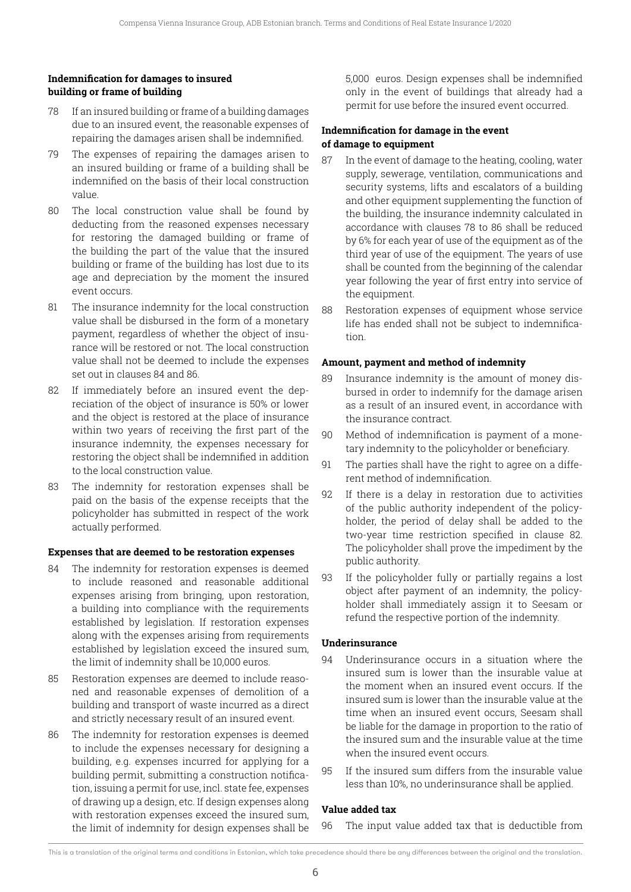## **Indemnification for damages to insured building or frame of building**

- 78 If an insured building or frame of a building damages due to an insured event, the reasonable expenses of repairing the damages arisen shall be indemnified.
- 79 The expenses of repairing the damages arisen to an insured building or frame of a building shall be indemnified on the basis of their local construction value.
- 80 The local construction value shall be found by deducting from the reasoned expenses necessary for restoring the damaged building or frame of the building the part of the value that the insured building or frame of the building has lost due to its age and depreciation by the moment the insured event occurs.
- 81 The insurance indemnity for the local construction value shall be disbursed in the form of a monetary payment, regardless of whether the object of insurance will be restored or not. The local construction value shall not be deemed to include the expenses set out in clauses 84 and 86.
- 82 If immediately before an insured event the depreciation of the object of insurance is 50% or lower and the object is restored at the place of insurance within two years of receiving the first part of the insurance indemnity, the expenses necessary for restoring the object shall be indemnified in addition to the local construction value.
- 83 The indemnity for restoration expenses shall be paid on the basis of the expense receipts that the policyholder has submitted in respect of the work actually performed.

## **Expenses that are deemed to be restoration expenses**

- 84 The indemnity for restoration expenses is deemed to include reasoned and reasonable additional expenses arising from bringing, upon restoration, a building into compliance with the requirements established by legislation. If restoration expenses along with the expenses arising from requirements established by legislation exceed the insured sum, the limit of indemnity shall be 10,000 euros.
- 85 Restoration expenses are deemed to include reasoned and reasonable expenses of demolition of a building and transport of waste incurred as a direct and strictly necessary result of an insured event.
- 86 The indemnity for restoration expenses is deemed to include the expenses necessary for designing a building, e.g. expenses incurred for applying for a building permit, submitting a construction notification, issuing a permit for use, incl. state fee, expenses of drawing up a design, etc. If design expenses along with restoration expenses exceed the insured sum, the limit of indemnity for design expenses shall be

5,000 euros. Design expenses shall be indemnified only in the event of buildings that already had a permit for use before the insured event occurred.

## **Indemnification for damage in the event of damage to equipment**

- 87 In the event of damage to the heating, cooling, water supply, sewerage, ventilation, communications and security systems, lifts and escalators of a building and other equipment supplementing the function of the building, the insurance indemnity calculated in accordance with clauses 78 to 86 shall be reduced by 6% for each year of use of the equipment as of the third year of use of the equipment. The years of use shall be counted from the beginning of the calendar year following the year of first entry into service of the equipment.
- 88 Restoration expenses of equipment whose service life has ended shall not be subject to indemnification.

#### **Amount, payment and method of indemnity**

- 89 Insurance indemnity is the amount of money disbursed in order to indemnify for the damage arisen as a result of an insured event, in accordance with the insurance contract.
- 90 Method of indemnification is payment of a monetary indemnity to the policyholder or beneficiary.
- 91 The parties shall have the right to agree on a different method of indemnification.
- 92 If there is a delay in restoration due to activities of the public authority independent of the policyholder, the period of delay shall be added to the two-year time restriction specified in clause 82. The policyholder shall prove the impediment by the public authority.
- 93 If the policyholder fully or partially regains a lost object after payment of an indemnity, the policyholder shall immediately assign it to Seesam or refund the respective portion of the indemnity.

## **Underinsurance**

- 94 Underinsurance occurs in a situation where the insured sum is lower than the insurable value at the moment when an insured event occurs. If the insured sum is lower than the insurable value at the time when an insured event occurs, Seesam shall be liable for the damage in proportion to the ratio of the insured sum and the insurable value at the time when the insured event occurs.
- 95 If the insured sum differs from the insurable value less than 10%, no underinsurance shall be applied.

## **Value added tax**

96 The input value added tax that is deductible from

This is a translation of the original terms and conditions in Estonian, which take precedence should there be any differences between the original and the translation.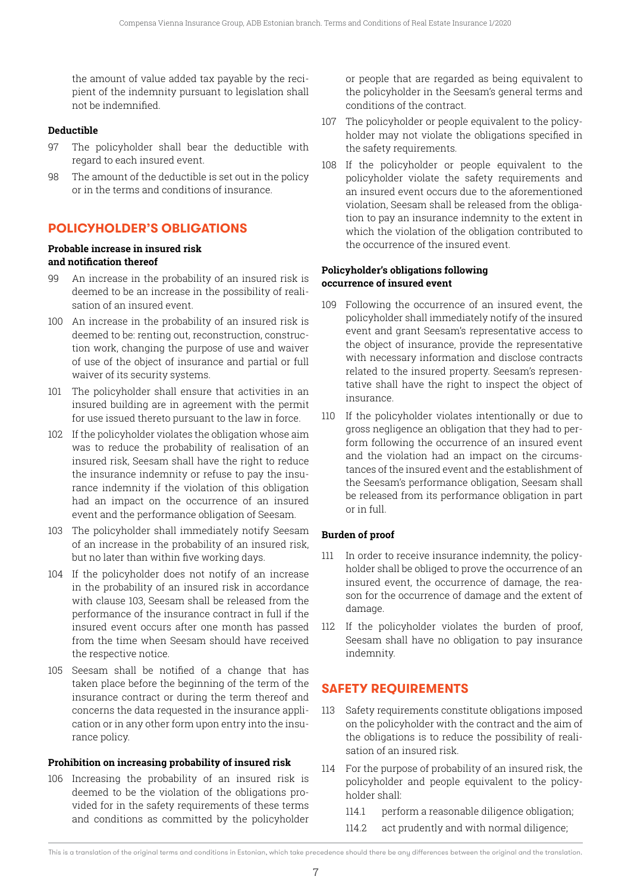the amount of value added tax payable by the recipient of the indemnity pursuant to legislation shall not be indemnified.

## **Deductible**

- 97 The policyholder shall bear the deductible with regard to each insured event.
- 98 The amount of the deductible is set out in the policy or in the terms and conditions of insurance.

# **POLICYHOLDER'S OBLIGATIONS**

# **Probable increase in insured risk**

## **and notification thereof**

- 99 An increase in the probability of an insured risk is deemed to be an increase in the possibility of realisation of an insured event.
- 100 An increase in the probability of an insured risk is deemed to be: renting out, reconstruction, construction work, changing the purpose of use and waiver of use of the object of insurance and partial or full waiver of its security systems.
- 101 The policyholder shall ensure that activities in an insured building are in agreement with the permit for use issued thereto pursuant to the law in force.
- 102 If the policyholder violates the obligation whose aim was to reduce the probability of realisation of an insured risk, Seesam shall have the right to reduce the insurance indemnity or refuse to pay the insurance indemnity if the violation of this obligation had an impact on the occurrence of an insured event and the performance obligation of Seesam.
- 103 The policyholder shall immediately notify Seesam of an increase in the probability of an insured risk, but no later than within five working days.
- 104 If the policyholder does not notify of an increase in the probability of an insured risk in accordance with clause 103, Seesam shall be released from the performance of the insurance contract in full if the insured event occurs after one month has passed from the time when Seesam should have received the respective notice.
- 105 Seesam shall be notified of a change that has taken place before the beginning of the term of the insurance contract or during the term thereof and concerns the data requested in the insurance application or in any other form upon entry into the insurance policy.

## **Prohibition on increasing probability of insured risk**

106 Increasing the probability of an insured risk is deemed to be the violation of the obligations provided for in the safety requirements of these terms and conditions as committed by the policyholder or people that are regarded as being equivalent to the policyholder in the Seesam's general terms and conditions of the contract.

- 107 The policyholder or people equivalent to the policyholder may not violate the obligations specified in the safety requirements.
- 108 If the policyholder or people equivalent to the policyholder violate the safety requirements and an insured event occurs due to the aforementioned violation, Seesam shall be released from the obligation to pay an insurance indemnity to the extent in which the violation of the obligation contributed to the occurrence of the insured event.

## **Policyholder's obligations following occurrence of insured event**

- 109 Following the occurrence of an insured event, the policyholder shall immediately notify of the insured event and grant Seesam's representative access to the object of insurance, provide the representative with necessary information and disclose contracts related to the insured property. Seesam's representative shall have the right to inspect the object of insurance.
- 110 If the policyholder violates intentionally or due to gross negligence an obligation that they had to perform following the occurrence of an insured event and the violation had an impact on the circumstances of the insured event and the establishment of the Seesam's performance obligation, Seesam shall be released from its performance obligation in part or in full.

# **Burden of proof**

- 111 In order to receive insurance indemnity, the policyholder shall be obliged to prove the occurrence of an insured event, the occurrence of damage, the reason for the occurrence of damage and the extent of damage.
- 112 If the policyholder violates the burden of proof, Seesam shall have no obligation to pay insurance indemnity.

# **SAFETY REQUIREMENTS**

- 113 Safety requirements constitute obligations imposed on the policyholder with the contract and the aim of the obligations is to reduce the possibility of realisation of an insured risk.
- 114 For the purpose of probability of an insured risk, the policyholder and people equivalent to the policyholder shall:
	- 114.1 perform a reasonable diligence obligation;
	- 114.2 act prudently and with normal diligence;

This is a translation of the original terms and conditions in Estonian, which take precedence should there be any differences between the original and the translation.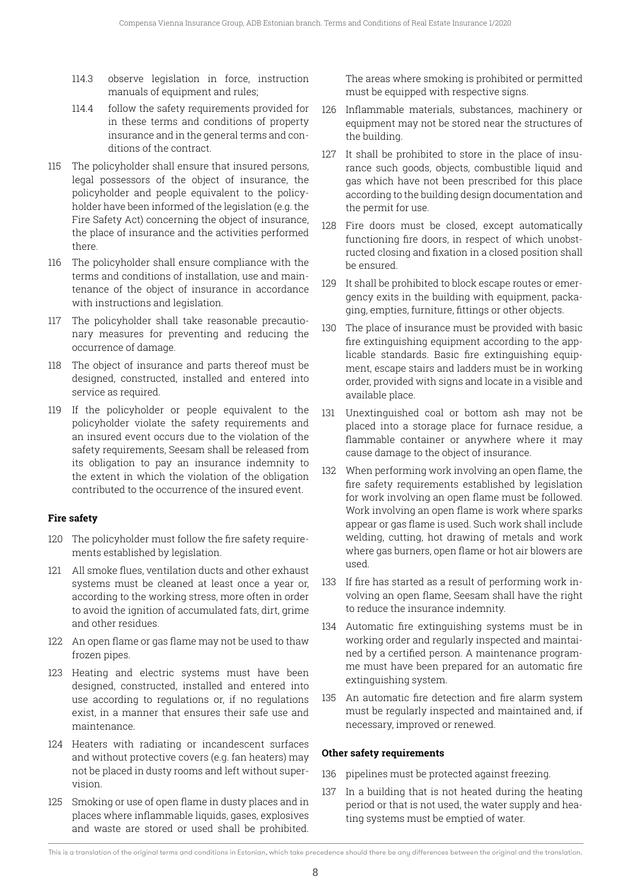- 114.3 observe legislation in force, instruction manuals of equipment and rules;
- 114.4 follow the safety requirements provided for in these terms and conditions of property insurance and in the general terms and conditions of the contract.
- 115 The policyholder shall ensure that insured persons, legal possessors of the object of insurance, the policyholder and people equivalent to the policyholder have been informed of the legislation (e.g. the Fire Safety Act) concerning the object of insurance, the place of insurance and the activities performed there.
- 116 The policyholder shall ensure compliance with the terms and conditions of installation, use and maintenance of the object of insurance in accordance with instructions and legislation.
- 117 The policyholder shall take reasonable precautionary measures for preventing and reducing the occurrence of damage.
- 118 The object of insurance and parts thereof must be designed, constructed, installed and entered into service as required.
- 119 If the policyholder or people equivalent to the policyholder violate the safety requirements and an insured event occurs due to the violation of the safety requirements, Seesam shall be released from its obligation to pay an insurance indemnity to the extent in which the violation of the obligation contributed to the occurrence of the insured event.

# **Fire safety**

- 120 The policyholder must follow the fire safety requirements established by legislation.
- 121 All smoke flues, ventilation ducts and other exhaust systems must be cleaned at least once a year or, according to the working stress, more often in order to avoid the ignition of accumulated fats, dirt, grime and other residues.
- 122 An open flame or gas flame may not be used to thaw frozen pipes.
- 123 Heating and electric systems must have been designed, constructed, installed and entered into use according to regulations or, if no regulations exist, in a manner that ensures their safe use and maintenance.
- 124 Heaters with radiating or incandescent surfaces and without protective covers (e.g. fan heaters) may not be placed in dusty rooms and left without supervision.
- 125 Smoking or use of open flame in dusty places and in places where inflammable liquids, gases, explosives and waste are stored or used shall be prohibited.

The areas where smoking is prohibited or permitted must be equipped with respective signs.

- 126 Inflammable materials, substances, machinery or equipment may not be stored near the structures of the building.
- 127 It shall be prohibited to store in the place of insurance such goods, objects, combustible liquid and gas which have not been prescribed for this place according to the building design documentation and the permit for use.
- 128 Fire doors must be closed, except automatically functioning fire doors, in respect of which unobstructed closing and fixation in a closed position shall be ensured.
- 129 It shall be prohibited to block escape routes or emergency exits in the building with equipment, packaging, empties, furniture, fittings or other objects.
- 130 The place of insurance must be provided with basic fire extinguishing equipment according to the applicable standards. Basic fire extinguishing equipment, escape stairs and ladders must be in working order, provided with signs and locate in a visible and available place.
- 131 Unextinguished coal or bottom ash may not be placed into a storage place for furnace residue, a flammable container or anywhere where it may cause damage to the object of insurance.
- 132 When performing work involving an open flame, the fire safety requirements established by legislation for work involving an open flame must be followed. Work involving an open flame is work where sparks appear or gas flame is used. Such work shall include welding, cutting, hot drawing of metals and work where gas burners, open flame or hot air blowers are used.
- 133 If fire has started as a result of performing work involving an open flame, Seesam shall have the right to reduce the insurance indemnity.
- 134 Automatic fire extinguishing systems must be in working order and regularly inspected and maintained by a certified person. A maintenance programme must have been prepared for an automatic fire extinguishing system.
- 135 An automatic fire detection and fire alarm system must be regularly inspected and maintained and, if necessary, improved or renewed.

## **Other safety requirements**

- 136 pipelines must be protected against freezing.
- 137 In a building that is not heated during the heating period or that is not used, the water supply and heating systems must be emptied of water.

This is a translation of the original terms and conditions in Estonian, which take precedence should there be any differences between the original and the translation.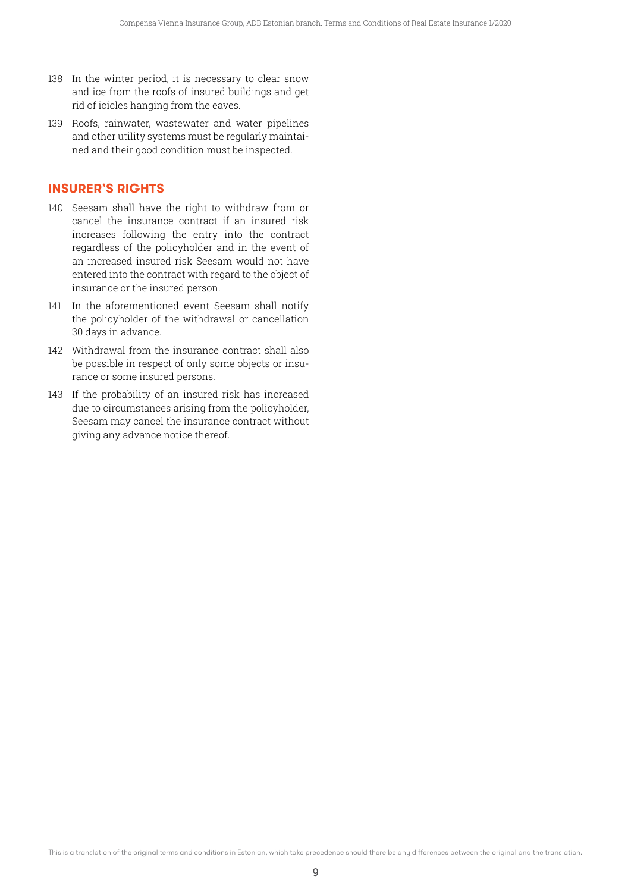- 138 In the winter period, it is necessary to clear snow and ice from the roofs of insured buildings and get rid of icicles hanging from the eaves.
- 139 Roofs, rainwater, wastewater and water pipelines and other utility systems must be regularly maintained and their good condition must be inspected.

# **INSURER'S RIGHTS**

- 140 Seesam shall have the right to withdraw from or cancel the insurance contract if an insured risk increases following the entry into the contract regardless of the policyholder and in the event of an increased insured risk Seesam would not have entered into the contract with regard to the object of insurance or the insured person.
- 141 In the aforementioned event Seesam shall notify the policyholder of the withdrawal or cancellation 30 days in advance.
- 142 Withdrawal from the insurance contract shall also be possible in respect of only some objects or insurance or some insured persons.
- 143 If the probability of an insured risk has increased due to circumstances arising from the policyholder, Seesam may cancel the insurance contract without giving any advance notice thereof.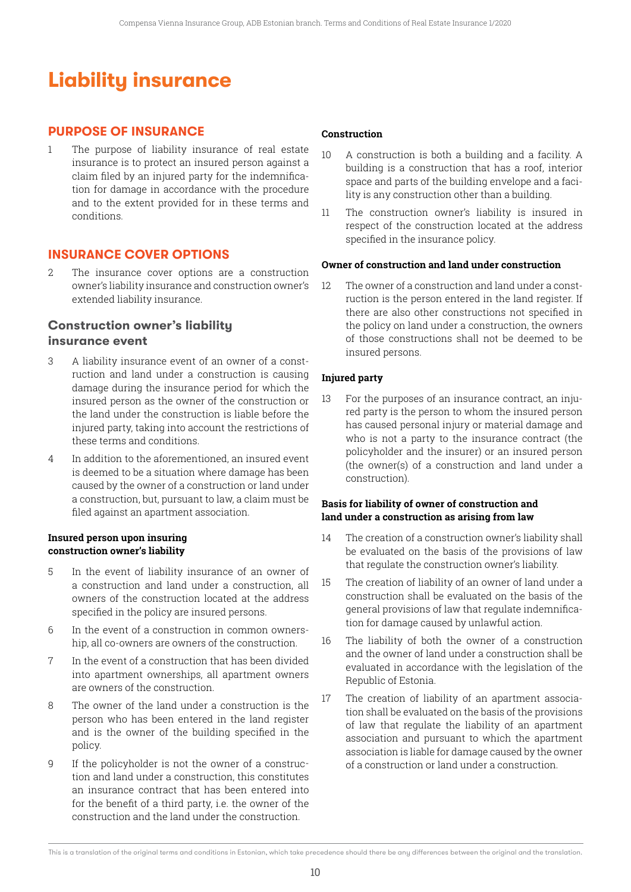# **Liability insurance**

# **PURPOSE OF INSURANCE**

1 The purpose of liability insurance of real estate insurance is to protect an insured person against a claim filed by an injured party for the indemnification for damage in accordance with the procedure and to the extent provided for in these terms and conditions.

## **INSURANCE COVER OPTIONS**

2 The insurance cover options are a construction owner's liability insurance and construction owner's extended liability insurance.

## **Construction owner's liability insurance event**

these terms and conditions.

- 3 A liability insurance event of an owner of a construction and land under a construction is causing damage during the insurance period for which the insured person as the owner of the construction or the land under the construction is liable before the injured party, taking into account the restrictions of
- 4 In addition to the aforementioned, an insured event is deemed to be a situation where damage has been caused by the owner of a construction or land under a construction, but, pursuant to law, a claim must be filed against an apartment association.

#### **Insured person upon insuring construction owner's liability**

- 5 In the event of liability insurance of an owner of a construction and land under a construction, all owners of the construction located at the address specified in the policy are insured persons.
- 6 In the event of a construction in common ownership, all co-owners are owners of the construction.
- 7 In the event of a construction that has been divided into apartment ownerships, all apartment owners are owners of the construction.
- 8 The owner of the land under a construction is the person who has been entered in the land register and is the owner of the building specified in the policy.
- 9 If the policyholder is not the owner of a construction and land under a construction, this constitutes an insurance contract that has been entered into for the benefit of a third party, i.e. the owner of the construction and the land under the construction.

#### **Construction**

- 10 A construction is both a building and a facility. A building is a construction that has a roof, interior space and parts of the building envelope and a facility is any construction other than a building.
- 11 The construction owner's liability is insured in respect of the construction located at the address specified in the insurance policy.

#### **Owner of construction and land under construction**

12 The owner of a construction and land under a construction is the person entered in the land register. If there are also other constructions not specified in the policy on land under a construction, the owners of those constructions shall not be deemed to be insured persons.

#### **Injured party**

13 For the purposes of an insurance contract, an injured party is the person to whom the insured person has caused personal injury or material damage and who is not a party to the insurance contract (the policyholder and the insurer) or an insured person (the owner(s) of a construction and land under a construction).

#### **Basis for liability of owner of construction and land under a construction as arising from law**

- 14 The creation of a construction owner's liability shall be evaluated on the basis of the provisions of law that regulate the construction owner's liability.
- 15 The creation of liability of an owner of land under a construction shall be evaluated on the basis of the general provisions of law that regulate indemnification for damage caused by unlawful action.
- 16 The liability of both the owner of a construction and the owner of land under a construction shall be evaluated in accordance with the legislation of the Republic of Estonia.
- 17 The creation of liability of an apartment association shall be evaluated on the basis of the provisions of law that regulate the liability of an apartment association and pursuant to which the apartment association is liable for damage caused by the owner of a construction or land under a construction.

This is a translation of the original terms and conditions in Estonian, which take precedence should there be any differences between the original and the translation.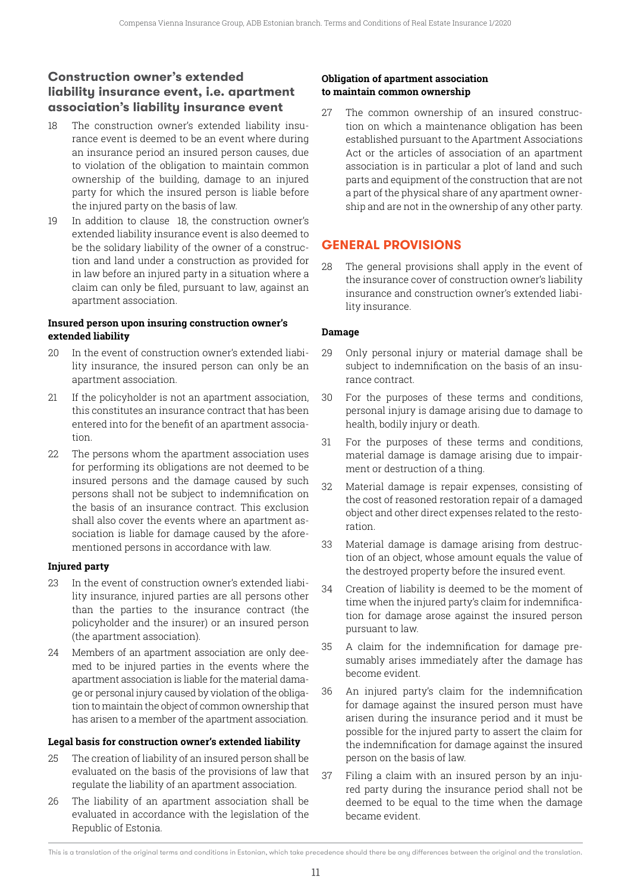# **Construction owner's extended liability insurance event, i.e. apartment association's liability insurance event**

- 18 The construction owner's extended liability insurance event is deemed to be an event where during an insurance period an insured person causes, due to violation of the obligation to maintain common ownership of the building, damage to an injured party for which the insured person is liable before the injured party on the basis of law.
- 19 In addition to clause 18, the construction owner's extended liability insurance event is also deemed to be the solidary liability of the owner of a construction and land under a construction as provided for in law before an injured party in a situation where a claim can only be filed, pursuant to law, against an apartment association.

## **Insured person upon insuring construction owner's extended liability**

- 20 In the event of construction owner's extended liability insurance, the insured person can only be an apartment association.
- 21 If the policyholder is not an apartment association, this constitutes an insurance contract that has been entered into for the benefit of an apartment association.
- 22 The persons whom the apartment association uses for performing its obligations are not deemed to be insured persons and the damage caused by such persons shall not be subject to indemnification on the basis of an insurance contract. This exclusion shall also cover the events where an apartment association is liable for damage caused by the aforementioned persons in accordance with law.

# **Injured party**

- 23 In the event of construction owner's extended liability insurance, injured parties are all persons other than the parties to the insurance contract (the policyholder and the insurer) or an insured person (the apartment association).
- 24 Members of an apartment association are only deemed to be injured parties in the events where the apartment association is liable for the material damage or personal injury caused by violation of the obligation to maintain the object of common ownership that has arisen to a member of the apartment association.

# **Legal basis for construction owner's extended liability**

- 25 The creation of liability of an insured person shall be evaluated on the basis of the provisions of law that regulate the liability of an apartment association.
- 26 The liability of an apartment association shall be evaluated in accordance with the legislation of the Republic of Estonia.

## **Obligation of apartment association to maintain common ownership**

27 The common ownership of an insured construction on which a maintenance obligation has been established pursuant to the Apartment Associations Act or the articles of association of an apartment association is in particular a plot of land and such parts and equipment of the construction that are not a part of the physical share of any apartment ownership and are not in the ownership of any other party.

# **GENERAL PROVISIONS**

28 The general provisions shall apply in the event of the insurance cover of construction owner's liability insurance and construction owner's extended liability insurance.

# **Damage**

- 29 Only personal injury or material damage shall be subject to indemnification on the basis of an insurance contract.
- 30 For the purposes of these terms and conditions, personal injury is damage arising due to damage to health, bodily injury or death.
- 31 For the purposes of these terms and conditions, material damage is damage arising due to impairment or destruction of a thing.
- 32 Material damage is repair expenses, consisting of the cost of reasoned restoration repair of a damaged object and other direct expenses related to the restoration.
- 33 Material damage is damage arising from destruction of an object, whose amount equals the value of the destroyed property before the insured event.
- 34 Creation of liability is deemed to be the moment of time when the injured party's claim for indemnification for damage arose against the insured person pursuant to law.
- 35 A claim for the indemnification for damage presumably arises immediately after the damage has become evident.
- 36 An injured party's claim for the indemnification for damage against the insured person must have arisen during the insurance period and it must be possible for the injured party to assert the claim for the indemnification for damage against the insured person on the basis of law.
- 37 Filing a claim with an insured person by an injured party during the insurance period shall not be deemed to be equal to the time when the damage became evident.

This is a translation of the original terms and conditions in Estonian, which take precedence should there be any differences between the original and the translation.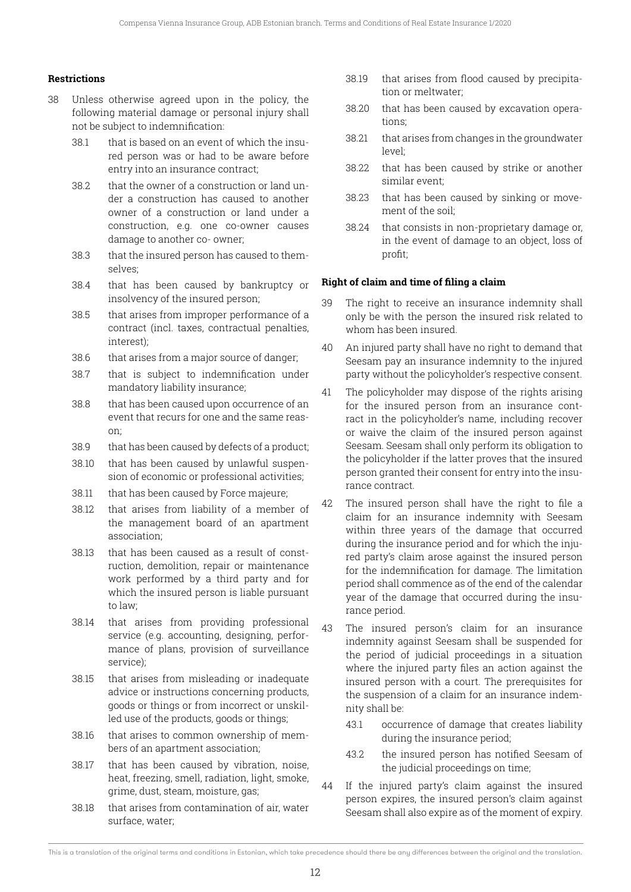#### **Restrictions**

- 38 Unless otherwise agreed upon in the policy, the following material damage or personal injury shall not be subject to indemnification:
	- 38.1 that is based on an event of which the insured person was or had to be aware before entry into an insurance contract;
	- 38.2 that the owner of a construction or land under a construction has caused to another owner of a construction or land under a construction, e.g. one co-owner causes damage to another co- owner;
	- 38.3 that the insured person has caused to themselves;
	- 38.4 that has been caused by bankruptcy or insolvency of the insured person;
	- 38.5 that arises from improper performance of a contract (incl. taxes, contractual penalties, interest);
	- 38.6 that arises from a major source of danger;
	- 38.7 that is subject to indemnification under mandatory liability insurance;
	- 38.8 that has been caused upon occurrence of an event that recurs for one and the same reason;
	- 38.9 that has been caused by defects of a product;
	- 38.10 that has been caused by unlawful suspension of economic or professional activities;
	- 38.11 that has been caused by Force majeure;
	- 38.12 that arises from liability of a member of the management board of an apartment association;
	- 38.13 that has been caused as a result of construction, demolition, repair or maintenance work performed by a third party and for which the insured person is liable pursuant to law;
	- 38.14 that arises from providing professional service (e.g. accounting, designing, performance of plans, provision of surveillance service);
	- 38.15 that arises from misleading or inadequate advice or instructions concerning products, goods or things or from incorrect or unskilled use of the products, goods or things;
	- 38.16 that arises to common ownership of members of an apartment association;
	- 38.17 that has been caused by vibration, noise, heat, freezing, smell, radiation, light, smoke, grime, dust, steam, moisture, gas;
	- 38.18 that arises from contamination of air, water surface, water;
- 38.19 that arises from flood caused by precipitation or meltwater;
- 38.20 that has been caused by excavation operations;
- 38.21 that arises from changes in the groundwater level;
- 38.22 that has been caused by strike or another similar event;
- 38.23 that has been caused by sinking or movement of the soil;
- 38.24 that consists in non-proprietary damage or, in the event of damage to an object, loss of profit;

#### **Right of claim and time of filing a claim**

- 39 The right to receive an insurance indemnity shall only be with the person the insured risk related to whom has been insured.
- 40 An injured party shall have no right to demand that Seesam pay an insurance indemnity to the injured party without the policyholder's respective consent.
- 41 The policyholder may dispose of the rights arising for the insured person from an insurance contract in the policyholder's name, including recover or waive the claim of the insured person against Seesam. Seesam shall only perform its obligation to the policyholder if the latter proves that the insured person granted their consent for entry into the insurance contract.
- 42 The insured person shall have the right to file a claim for an insurance indemnity with Seesam within three years of the damage that occurred during the insurance period and for which the injured party's claim arose against the insured person for the indemnification for damage. The limitation period shall commence as of the end of the calendar year of the damage that occurred during the insurance period.
- 43 The insured person's claim for an insurance indemnity against Seesam shall be suspended for the period of judicial proceedings in a situation where the injured party files an action against the insured person with a court. The prerequisites for the suspension of a claim for an insurance indemnity shall be:
	- 43.1 occurrence of damage that creates liability during the insurance period;
	- 43.2 the insured person has notified Seesam of the judicial proceedings on time;
- 44 If the injured party's claim against the insured person expires, the insured person's claim against Seesam shall also expire as of the moment of expiry.

This is a translation of the original terms and conditions in Estonian, which take precedence should there be any differences between the original and the translation.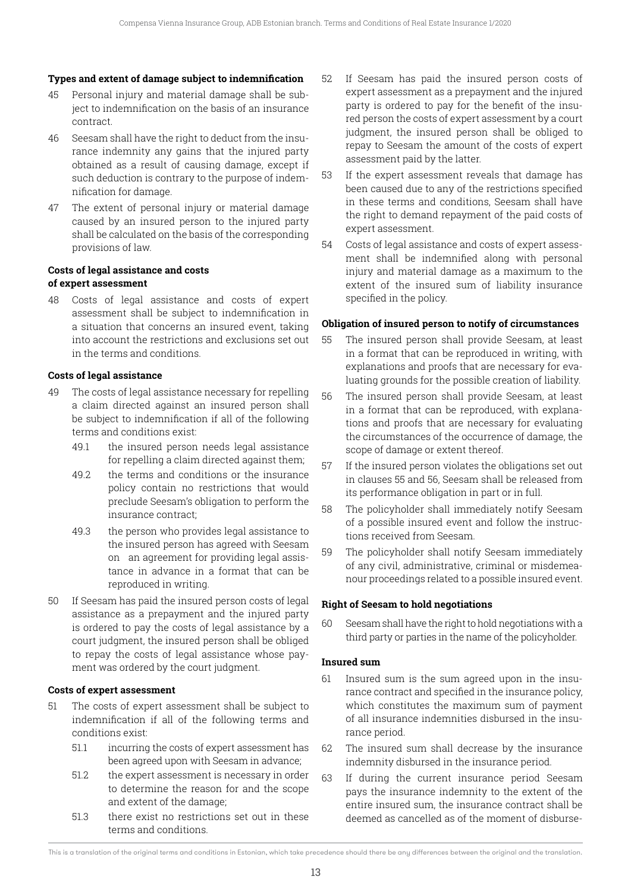#### **Types and extent of damage subject to indemnification**

- 45 Personal injury and material damage shall be subject to indemnification on the basis of an insurance contract.
- 46 Seesam shall have the right to deduct from the insurance indemnity any gains that the injured party obtained as a result of causing damage, except if such deduction is contrary to the purpose of indemnification for damage.
- 47 The extent of personal injury or material damage caused by an insured person to the injured party shall be calculated on the basis of the corresponding provisions of law.

## **Costs of legal assistance and costs of expert assessment**

48 Costs of legal assistance and costs of expert assessment shall be subject to indemnification in a situation that concerns an insured event, taking into account the restrictions and exclusions set out in the terms and conditions.

## **Costs of legal assistance**

- 49 The costs of legal assistance necessary for repelling a claim directed against an insured person shall be subject to indemnification if all of the following terms and conditions exist:
	- 49.1 the insured person needs legal assistance for repelling a claim directed against them;
	- 49.2 the terms and conditions or the insurance policy contain no restrictions that would preclude Seesam's obligation to perform the insurance contract;
	- 49.3 the person who provides legal assistance to the insured person has agreed with Seesam on an agreement for providing legal assistance in advance in a format that can be reproduced in writing.
- 50 If Seesam has paid the insured person costs of legal assistance as a prepayment and the injured party is ordered to pay the costs of legal assistance by a court judgment, the insured person shall be obliged to repay the costs of legal assistance whose payment was ordered by the court judgment.

## **Costs of expert assessment**

- 51 The costs of expert assessment shall be subject to indemnification if all of the following terms and conditions exist:
	- 51.1 incurring the costs of expert assessment has been agreed upon with Seesam in advance;
	- 51.2 the expert assessment is necessary in order to determine the reason for and the scope and extent of the damage;
	- 51.3 there exist no restrictions set out in these terms and conditions.
- 52 If Seesam has paid the insured person costs of expert assessment as a prepayment and the injured party is ordered to pay for the benefit of the insured person the costs of expert assessment by a court judgment, the insured person shall be obliged to repay to Seesam the amount of the costs of expert assessment paid by the latter.
- 53 If the expert assessment reveals that damage has been caused due to any of the restrictions specified in these terms and conditions, Seesam shall have the right to demand repayment of the paid costs of expert assessment.
- 54 Costs of legal assistance and costs of expert assessment shall be indemnified along with personal injury and material damage as a maximum to the extent of the insured sum of liability insurance specified in the policy.

## **Obligation of insured person to notify of circumstances**

- 55 The insured person shall provide Seesam, at least in a format that can be reproduced in writing, with explanations and proofs that are necessary for evaluating grounds for the possible creation of liability.
- 56 The insured person shall provide Seesam, at least in a format that can be reproduced, with explanations and proofs that are necessary for evaluating the circumstances of the occurrence of damage, the scope of damage or extent thereof.
- 57 If the insured person violates the obligations set out in clauses 55 and 56, Seesam shall be released from its performance obligation in part or in full.
- 58 The policyholder shall immediately notify Seesam of a possible insured event and follow the instructions received from Seesam.
- 59 The policyholder shall notify Seesam immediately of any civil, administrative, criminal or misdemeanour proceedings related to a possible insured event.

## **Right of Seesam to hold negotiations**

60 Seesam shall have the right to hold negotiations with a third party or parties in the name of the policyholder.

#### **Insured sum**

- 61 Insured sum is the sum agreed upon in the insurance contract and specified in the insurance policy, which constitutes the maximum sum of payment of all insurance indemnities disbursed in the insurance period.
- 62 The insured sum shall decrease by the insurance indemnity disbursed in the insurance period.
- 63 If during the current insurance period Seesam pays the insurance indemnity to the extent of the entire insured sum, the insurance contract shall be deemed as cancelled as of the moment of disburse-

This is a translation of the original terms and conditions in Estonian, which take precedence should there be any differences between the original and the translation.